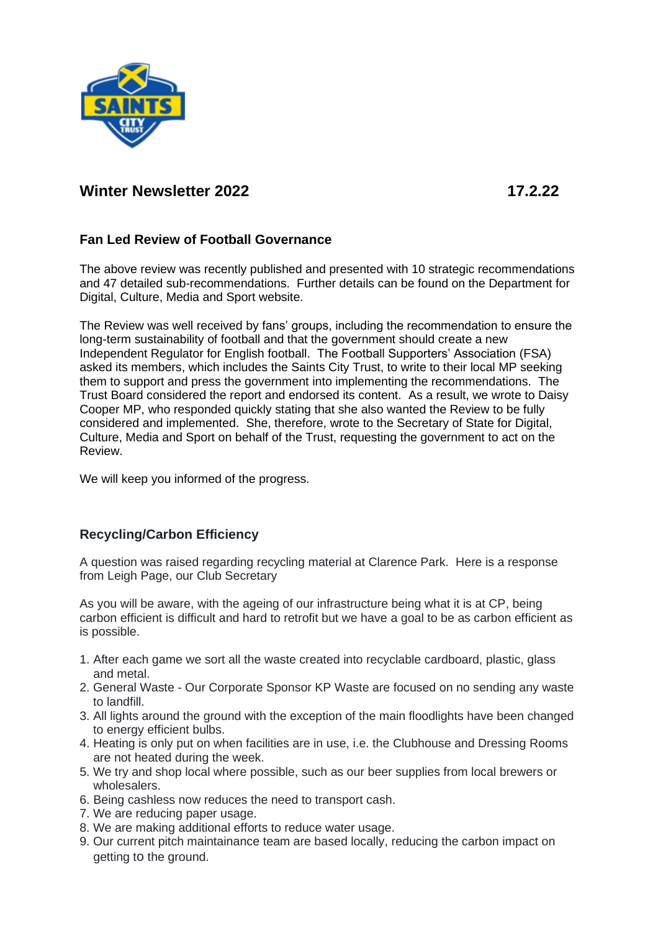

# **Winter Newsletter 2022 17.2.22**

## **Fan Led Review of Football Governance**

The above review was recently published and presented with 10 strategic recommendations and 47 detailed sub-recommendations. Further details can be found on the Department for Digital, Culture, Media and Sport website.

The Review was well received by fans' groups, including the recommendation to ensure the long-term sustainability of football and that the government should create a new Independent Regulator for English football. The Football Supporters' Association (FSA) asked its members, which includes the Saints City Trust, to write to their local MP seeking them to support and press the government into implementing the recommendations. The Trust Board considered the report and endorsed its content. As a result, we wrote to Daisy Cooper MP, who responded quickly stating that she also wanted the Review to be fully considered and implemented. She, therefore, wrote to the Secretary of State for Digital, Culture, Media and Sport on behalf of the Trust, requesting the government to act on the Review.

We will keep you informed of the progress.

# **Recycling/Carbon Efficiency**

A question was raised regarding recycling material at Clarence Park. Here is a response from Leigh Page, our Club Secretary

As you will be aware, with the ageing of our infrastructure being what it is at CP, being carbon efficient is difficult and hard to retrofit but we have a goal to be as carbon efficient as is possible.

- 1. After each game we sort all the waste created into recyclable cardboard, plastic, glass and metal.
- 2. General Waste Our Corporate Sponsor KP Waste are focused on no sending any waste to landfill.
- 3. All lights around the ground with the exception of the main floodlights have been changed to energy efficient bulbs.
- 4. Heating is only put on when facilities are in use, i.e. the Clubhouse and Dressing Rooms are not heated during the week.
- 5. We try and shop local where possible, such as our beer supplies from local brewers or wholesalers.
- 6. Being cashless now reduces the need to transport cash.
- 7. We are reducing paper usage.
- 8. We are making additional efforts to reduce water usage.
- 9. Our current pitch maintainance team are based locally, reducing the carbon impact on getting to the ground.